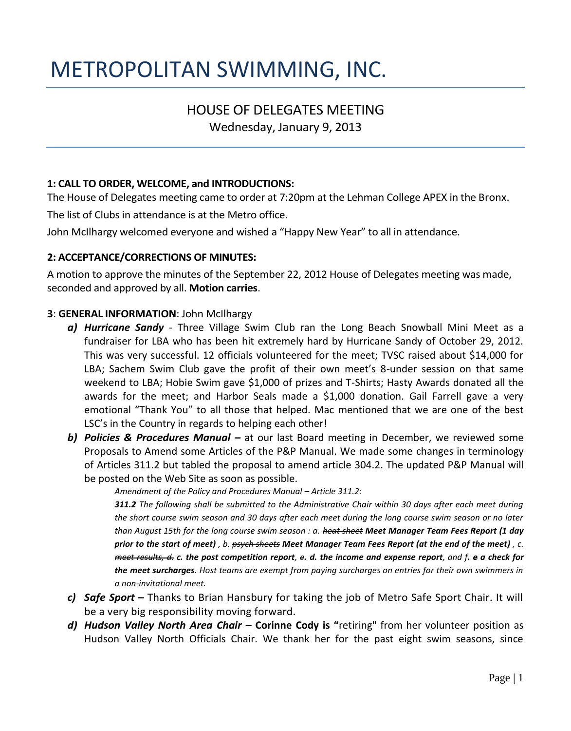# METROPOLITAN SWIMMING, INC.

## HOUSE OF DELEGATES MEETING

Wednesday, January 9, 2013

#### **1: CALL TO ORDER, WELCOME, and INTRODUCTIONS:**

The House of Delegates meeting came to order at 7:20pm at the Lehman College APEX in the Bronx.

The list of Clubs in attendance is at the Metro office.

John McIlhargy welcomed everyone and wished a "Happy New Year" to all in attendance.

#### **2: ACCEPTANCE/CORRECTIONS OF MINUTES:**

A motion to approve the minutes of the September 22, 2012 House of Delegates meeting was made, seconded and approved by all. **Motion carries**.

#### **3**: **GENERAL INFORMATION**: John McIlhargy

- *a) Hurricane Sandy* Three Village Swim Club ran the Long Beach Snowball Mini Meet as a fundraiser for LBA who has been hit extremely hard by Hurricane Sandy of October 29, 2012. This was very successful. 12 officials volunteered for the meet; TVSC raised about \$14,000 for LBA; Sachem Swim Club gave the profit of their own meet's 8-under session on that same weekend to LBA; Hobie Swim gave \$1,000 of prizes and T-Shirts; Hasty Awards donated all the awards for the meet; and Harbor Seals made a \$1,000 donation. Gail Farrell gave a very emotional "Thank You" to all those that helped. Mac mentioned that we are one of the best LSC's in the Country in regards to helping each other!
- *b) Policies & Procedures Manual –* at our last Board meeting in December, we reviewed some Proposals to Amend some Articles of the P&P Manual. We made some changes in terminology of Articles 311.2 but tabled the proposal to amend article 304.2. The updated P&P Manual will be posted on the Web Site as soon as possible.

Amendment of the Policy and Procedures Manual – Article 311.2:

*311.2 The following shall be submitted to the Administrative Chair within 30 days after each meet during the short course swim season and 30 days after each meet during the long course swim season or no later than August 15th for the long course swim season : a. heat sheet Meet Manager Team Fees Report (1 day prior to the start of meet) , b. psych sheets Meet Manager Team Fees Report (at the end of the meet) , c. meet results, d. c. the post competition report, e. d. the income and expense report, and f. e a check for the meet surcharges. Host teams are exempt from paying surcharges on entries for their own swimmers in a non-invitational meet.* 

- *c) Safe Sport –* Thanks to Brian Hansbury for taking the job of Metro Safe Sport Chair. It will be a very big responsibility moving forward.
- *d) Hudson Valley North Area Chair –* **Corinne Cody is "**retiring" from her volunteer position as Hudson Valley North Officials Chair. We thank her for the past eight swim seasons, since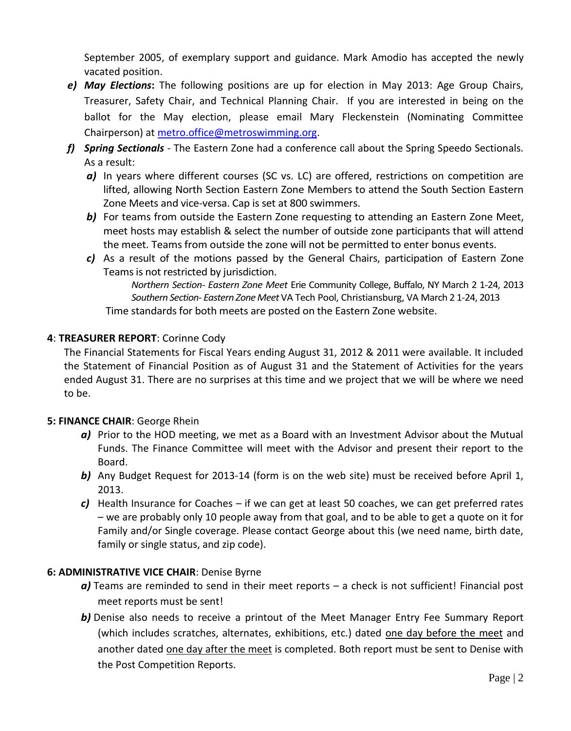September 2005, of exemplary support and guidance. Mark Amodio has accepted the newly vacated position.

- *e) May Elections***:** The following positions are up for election in May 2013: Age Group Chairs, Treasurer, Safety Chair, and Technical Planning Chair. If you are interested in being on the ballot for the May election, please email Mary Fleckenstein (Nominating Committee Chairperson) at [metro.office@metroswimming.org.](mailto:metro.office@metroswimming.org)
- *f) Spring Sectionals* The Eastern Zone had a conference call about the Spring Speedo Sectionals. As a result:
	- *a)* In years where different courses (SC vs. LC) are offered, restrictions on competition are lifted, allowing North Section Eastern Zone Members to attend the South Section Eastern Zone Meets and vice-versa. Cap is set at 800 swimmers.
	- **b)** For teams from outside the Eastern Zone requesting to attending an Eastern Zone Meet, meet hosts may establish & select the number of outside zone participants that will attend the meet. Teams from outside the zone will not be permitted to enter bonus events.
	- *c)* As a result of the motions passed by the General Chairs, participation of Eastern Zone Teams is not restricted by jurisdiction.

*Northern Section- Eastern Zone Meet* Erie Community College, Buffalo, NY March 2 1-24, 2013 *Southern Section- Eastern Zone Meet* VA Tech Pool, Christiansburg, VA March 2 1-24, 2013 Time standards for both meets are posted on the Eastern Zone website.

#### **4**: **TREASURER REPORT**: Corinne Cody

The Financial Statements for Fiscal Years ending August 31, 2012 & 2011 were available. It included the Statement of Financial Position as of August 31 and the Statement of Activities for the years ended August 31. There are no surprises at this time and we project that we will be where we need to be.

#### **5: FINANCE CHAIR**: George Rhein

- *a)* Prior to the HOD meeting, we met as a Board with an Investment Advisor about the Mutual Funds. The Finance Committee will meet with the Advisor and present their report to the Board.
- **b)** Any Budget Request for 2013-14 (form is on the web site) must be received before April 1, 2013.
- *c)* Health Insurance for Coaches if we can get at least 50 coaches, we can get preferred rates – we are probably only 10 people away from that goal, and to be able to get a quote on it for Family and/or Single coverage. Please contact George about this (we need name, birth date, family or single status, and zip code).

#### **6: ADMINISTRATIVE VICE CHAIR**: Denise Byrne

- *a)* Teams are reminded to send in their meet reports a check is not sufficient! Financial post meet reports must be sent!
- **b)** Denise also needs to receive a printout of the Meet Manager Entry Fee Summary Report (which includes scratches, alternates, exhibitions, etc.) dated one day before the meet and another dated one day after the meet is completed. Both report must be sent to Denise with the Post Competition Reports.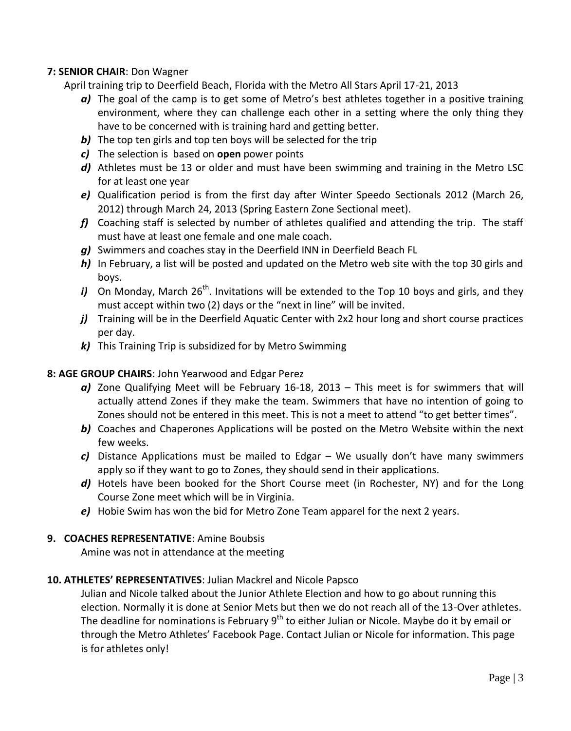#### **7: SENIOR CHAIR**: Don Wagner

April training trip to Deerfield Beach, Florida with the Metro All Stars April 17-21, 2013

- *a)* The goal of the camp is to get some of Metro's best athletes together in a positive training environment, where they can challenge each other in a setting where the only thing they have to be concerned with is training hard and getting better.
- **b)** The top ten girls and top ten boys will be selected for the trip
- *c)* The selection is based on **open** power points
- *d)* Athletes must be 13 or older and must have been swimming and training in the Metro LSC for at least one year
- *e)* Qualification period is from the first day after Winter Speedo Sectionals 2012 (March 26, 2012) through March 24, 2013 (Spring Eastern Zone Sectional meet).
- *f)* Coaching staff is selected by number of athletes qualified and attending the trip. The staff must have at least one female and one male coach.
- *g)* Swimmers and coaches stay in the Deerfield INN in Deerfield Beach FL
- *h)* In February, a list will be posted and updated on the Metro web site with the top 30 girls and boys.
- *i*) On Monday, March 26<sup>th</sup>. Invitations will be extended to the Top 10 boys and girls, and they must accept within two (2) days or the "next in line" will be invited.
- *j*) Training will be in the Deerfield Aquatic Center with 2x2 hour long and short course practices per day.
- *k)* This Training Trip is subsidized for by Metro Swimming

#### **8: AGE GROUP CHAIRS**: John Yearwood and Edgar Perez

- *a)* Zone Qualifying Meet will be February 16-18, 2013 This meet is for swimmers that will actually attend Zones if they make the team. Swimmers that have no intention of going to Zones should not be entered in this meet. This is not a meet to attend "to get better times".
- **b)** Coaches and Chaperones Applications will be posted on the Metro Website within the next few weeks.
- *c)* Distance Applications must be mailed to Edgar We usually don't have many swimmers apply so if they want to go to Zones, they should send in their applications.
- *d)* Hotels have been booked for the Short Course meet (in Rochester, NY) and for the Long Course Zone meet which will be in Virginia.
- *e)* Hobie Swim has won the bid for Metro Zone Team apparel for the next 2 years.

#### **9. COACHES REPRESENTATIVE**: Amine Boubsis

Amine was not in attendance at the meeting

#### **10. ATHLETES' REPRESENTATIVES**: Julian Mackrel and Nicole Papsco

Julian and Nicole talked about the Junior Athlete Election and how to go about running this election. Normally it is done at Senior Mets but then we do not reach all of the 13-Over athletes. The deadline for nominations is February  $9<sup>th</sup>$  to either Julian or Nicole. Maybe do it by email or through the Metro Athletes' Facebook Page. Contact Julian or Nicole for information. This page is for athletes only!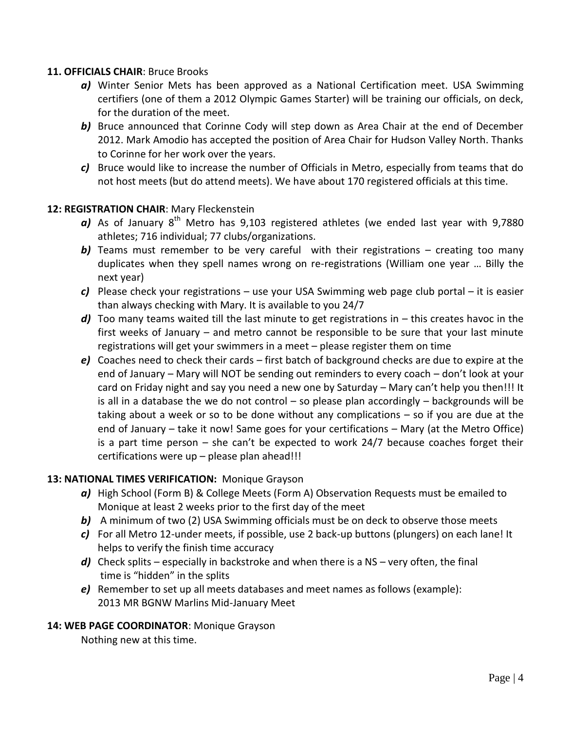#### **11. OFFICIALS CHAIR**: Bruce Brooks

- *a)* Winter Senior Mets has been approved as a National Certification meet. USA Swimming certifiers (one of them a 2012 Olympic Games Starter) will be training our officials, on deck, for the duration of the meet.
- **b**) Bruce announced that Corinne Cody will step down as Area Chair at the end of December 2012. Mark Amodio has accepted the position of Area Chair for Hudson Valley North. Thanks to Corinne for her work over the years.
- *c)* Bruce would like to increase the number of Officials in Metro, especially from teams that do not host meets (but do attend meets). We have about 170 registered officials at this time.

#### **12: REGISTRATION CHAIR**: Mary Fleckenstein

- a) As of January 8<sup>th</sup> Metro has 9,103 registered athletes (we ended last year with 9,7880 athletes; 716 individual; 77 clubs/organizations.
- **b**) Teams must remember to be very careful with their registrations creating too many duplicates when they spell names wrong on re-registrations (William one year … Billy the next year)
- *c)* Please check your registrations use your USA Swimming web page club portal it is easier than always checking with Mary. It is available to you 24/7
- *d)* Too many teams waited till the last minute to get registrations in this creates havoc in the first weeks of January – and metro cannot be responsible to be sure that your last minute registrations will get your swimmers in a meet – please register them on time
- *e)* Coaches need to check their cards first batch of background checks are due to expire at the end of January – Mary will NOT be sending out reminders to every coach – don't look at your card on Friday night and say you need a new one by Saturday – Mary can't help you then!!! It is all in a database the we do not control  $-$  so please plan accordingly  $-$  backgrounds will be taking about a week or so to be done without any complications – so if you are due at the end of January – take it now! Same goes for your certifications – Mary (at the Metro Office) is a part time person – she can't be expected to work 24/7 because coaches forget their certifications were up – please plan ahead!!!

#### **13: NATIONAL TIMES VERIFICATION:** Monique Grayson

- *a)* High School (Form B) & College Meets (Form A) Observation Requests must be emailed to Monique at least 2 weeks prior to the first day of the meet
- **b)** A minimum of two (2) USA Swimming officials must be on deck to observe those meets
- *c)* For all Metro 12-under meets, if possible, use 2 back-up buttons (plungers) on each lane! It helps to verify the finish time accuracy
- *d)* Check splits especially in backstroke and when there is a NS very often, the final time is "hidden" in the splits
- *e)* Remember to set up all meets databases and meet names as follows (example): 2013 MR BGNW Marlins Mid-January Meet

#### **14: WEB PAGE COORDINATOR**: Monique Grayson

Nothing new at this time.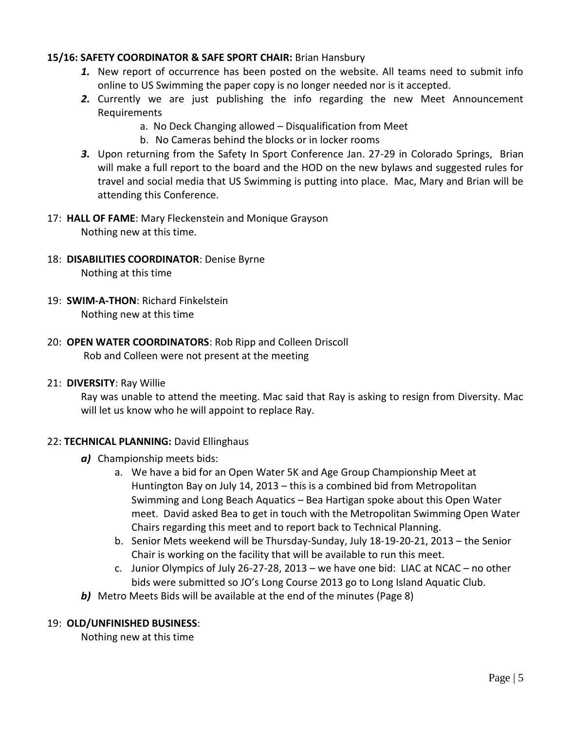#### **15/16: SAFETY COORDINATOR & SAFE SPORT CHAIR:** Brian Hansbury

- *1.* New report of occurrence has been posted on the website. All teams need to submit info online to US Swimming the paper copy is no longer needed nor is it accepted.
- *2.* Currently we are just publishing the info regarding the new Meet Announcement **Requirements** 
	- a. No Deck Changing allowed Disqualification from Meet
	- b. No Cameras behind the blocks or in locker rooms
- *3.* Upon returning from the Safety In Sport Conference Jan. 27-29 in Colorado Springs, Brian will make a full report to the board and the HOD on the new bylaws and suggested rules for travel and social media that US Swimming is putting into place. Mac, Mary and Brian will be attending this Conference.
- 17: **HALL OF FAME**: Mary Fleckenstein and Monique Grayson Nothing new at this time.
- 18: **DISABILITIES COORDINATOR**: Denise Byrne

Nothing at this time

- 19: **SWIM-A-THON**: Richard Finkelstein Nothing new at this time
- 20: **OPEN WATER COORDINATORS**: Rob Ripp and Colleen Driscoll Rob and Colleen were not present at the meeting
- 21: **DIVERSITY**: Ray Willie

Ray was unable to attend the meeting. Mac said that Ray is asking to resign from Diversity. Mac will let us know who he will appoint to replace Ray.

#### 22: **TECHNICAL PLANNING:** David Ellinghaus

- *a)* Championship meets bids:
	- a. We have a bid for an Open Water 5K and Age Group Championship Meet at Huntington Bay on July 14, 2013 – this is a combined bid from Metropolitan Swimming and Long Beach Aquatics – Bea Hartigan spoke about this Open Water meet. David asked Bea to get in touch with the Metropolitan Swimming Open Water Chairs regarding this meet and to report back to Technical Planning.
	- b. Senior Mets weekend will be Thursday-Sunday, July 18-19-20-21, 2013 the Senior Chair is working on the facility that will be available to run this meet.
	- c. Junior Olympics of July 26-27-28, 2013 we have one bid: LIAC at NCAC no other bids were submitted so JO's Long Course 2013 go to Long Island Aquatic Club.
- **b)** Metro Meets Bids will be available at the end of the minutes (Page 8)

#### 19: **OLD/UNFINISHED BUSINESS**:

Nothing new at this time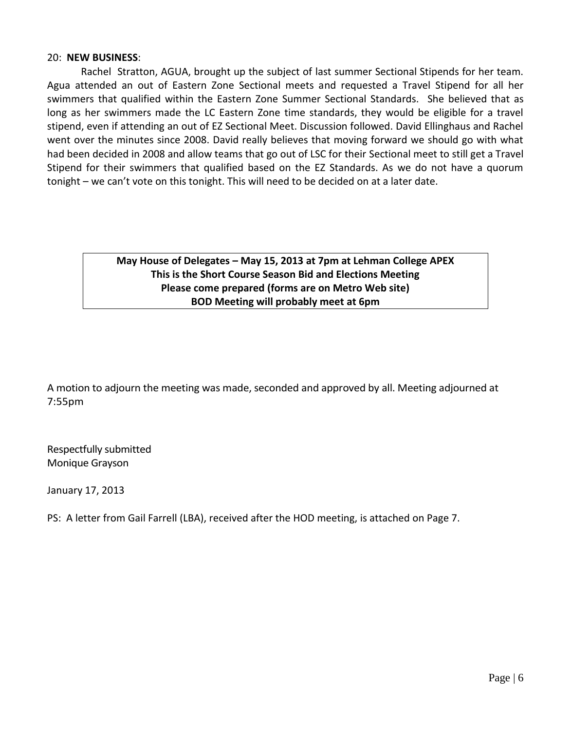#### 20: **NEW BUSINESS**:

Rachel Stratton, AGUA, brought up the subject of last summer Sectional Stipends for her team. Agua attended an out of Eastern Zone Sectional meets and requested a Travel Stipend for all her swimmers that qualified within the Eastern Zone Summer Sectional Standards. She believed that as long as her swimmers made the LC Eastern Zone time standards, they would be eligible for a travel stipend, even if attending an out of EZ Sectional Meet. Discussion followed. David Ellinghaus and Rachel went over the minutes since 2008. David really believes that moving forward we should go with what had been decided in 2008 and allow teams that go out of LSC for their Sectional meet to still get a Travel Stipend for their swimmers that qualified based on the EZ Standards. As we do not have a quorum tonight – we can't vote on this tonight. This will need to be decided on at a later date.

#### **May House of Delegates – May 15, 2013 at 7pm at Lehman College APEX This is the Short Course Season Bid and Elections Meeting Please come prepared (forms are on Metro Web site) BOD Meeting will probably meet at 6pm**

A motion to adjourn the meeting was made, seconded and approved by all. Meeting adjourned at 7:55pm

Respectfully submitted Monique Grayson

January 17, 2013

PS: A letter from Gail Farrell (LBA), received after the HOD meeting, is attached on Page 7.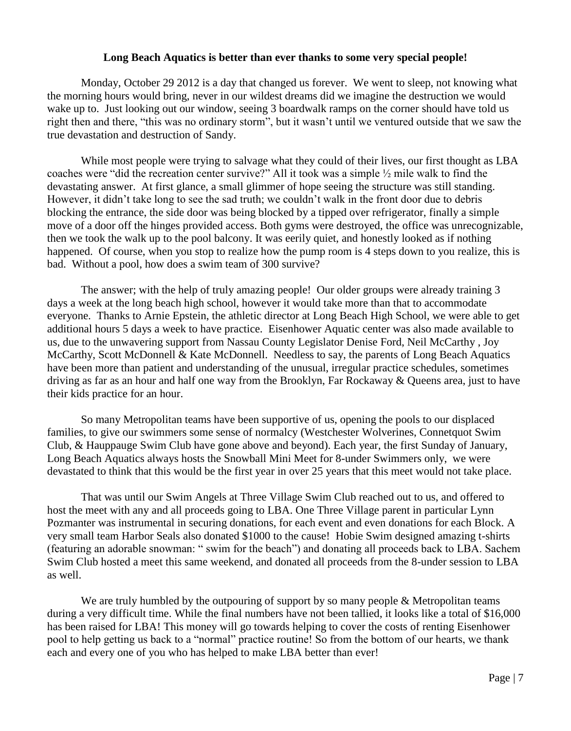#### **Long Beach Aquatics is better than ever thanks to some very special people!**

Monday, October 29 2012 is a day that changed us forever. We went to sleep, not knowing what the morning hours would bring, never in our wildest dreams did we imagine the destruction we would wake up to. Just looking out our window, seeing 3 boardwalk ramps on the corner should have told us right then and there, "this was no ordinary storm", but it wasn't until we ventured outside that we saw the true devastation and destruction of Sandy.

 While most people were trying to salvage what they could of their lives, our first thought as LBA coaches were "did the recreation center survive?" All it took was a simple  $\frac{1}{2}$  mile walk to find the devastating answer. At first glance, a small glimmer of hope seeing the structure was still standing. However, it didn't take long to see the sad truth; we couldn't walk in the front door due to debris blocking the entrance, the side door was being blocked by a tipped over refrigerator, finally a simple move of a door off the hinges provided access. Both gyms were destroyed, the office was unrecognizable, then we took the walk up to the pool balcony. It was eerily quiet, and honestly looked as if nothing happened. Of course, when you stop to realize how the pump room is 4 steps down to you realize, this is bad. Without a pool, how does a swim team of 300 survive?

 The answer; with the help of truly amazing people! Our older groups were already training 3 days a week at the long beach high school, however it would take more than that to accommodate everyone. Thanks to Arnie Epstein, the athletic director at Long Beach High School, we were able to get additional hours 5 days a week to have practice. Eisenhower Aquatic center was also made available to us, due to the unwavering support from Nassau County Legislator Denise Ford, Neil McCarthy , Joy McCarthy, Scott McDonnell & Kate McDonnell. Needless to say, the parents of Long Beach Aquatics have been more than patient and understanding of the unusual, irregular practice schedules, sometimes driving as far as an hour and half one way from the Brooklyn, Far Rockaway & Queens area, just to have their kids practice for an hour.

 So many Metropolitan teams have been supportive of us, opening the pools to our displaced families, to give our swimmers some sense of normalcy (Westchester Wolverines, Connetquot Swim Club, & Hauppauge Swim Club have gone above and beyond). Each year, the first Sunday of January, Long Beach Aquatics always hosts the Snowball Mini Meet for 8-under Swimmers only, we were devastated to think that this would be the first year in over 25 years that this meet would not take place.

 That was until our Swim Angels at Three Village Swim Club reached out to us, and offered to host the meet with any and all proceeds going to LBA. One Three Village parent in particular Lynn Pozmanter was instrumental in securing donations, for each event and even donations for each Block. A very small team Harbor Seals also donated \$1000 to the cause! Hobie Swim designed amazing t-shirts (featuring an adorable snowman: " swim for the beach") and donating all proceeds back to LBA. Sachem Swim Club hosted a meet this same weekend, and donated all proceeds from the 8-under session to LBA as well.

We are truly humbled by the outpouring of support by so many people & Metropolitan teams during a very difficult time. While the final numbers have not been tallied, it looks like a total of \$16,000 has been raised for LBA! This money will go towards helping to cover the costs of renting Eisenhower pool to help getting us back to a "normal" practice routine! So from the bottom of our hearts, we thank each and every one of you who has helped to make LBA better than ever!